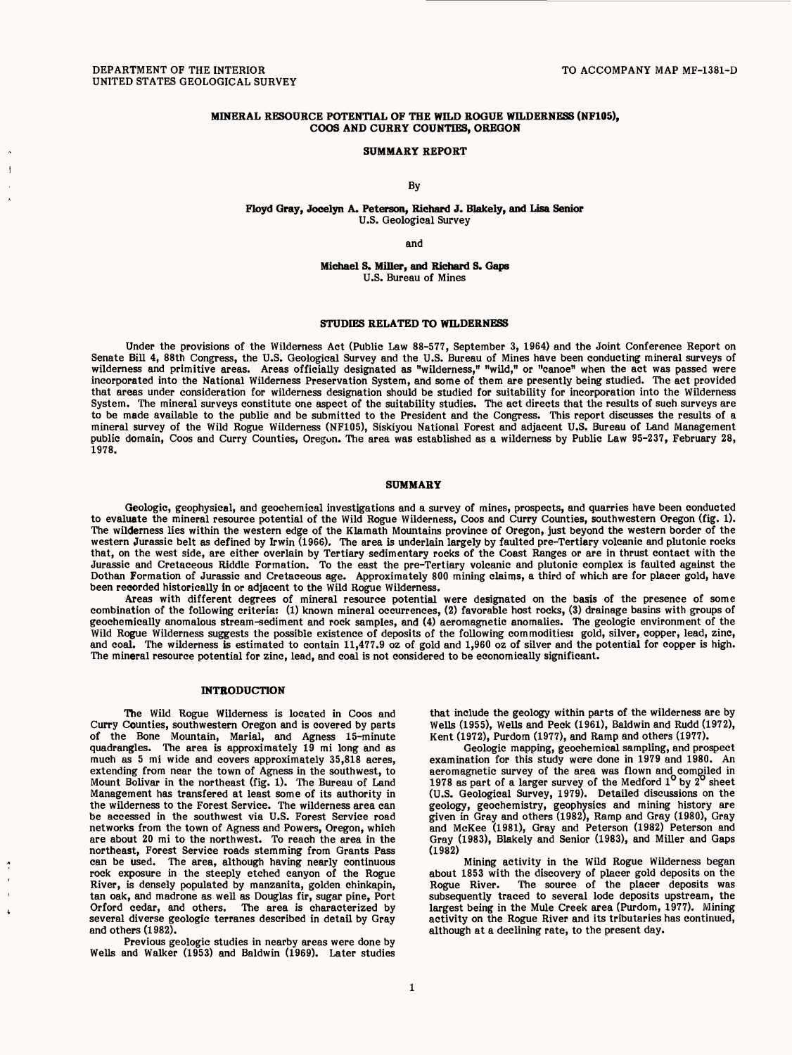$\overline{\phantom{a}}$ 

# **MINERAL RESOURCE POTENTIAL OF THE WELD ROGUE WILDERNESS (NF105), COOS AND CURRY COUNTIES, OREGON**

## **SUMMARY REPORT**

By

**Floyd Gray, Jocelyn A. Peterson, Richard J. Blakely, and Lisa Senior** U.S. Geological Survey

and

**Michael S. Miller, and Richard S. Gaps** U.S. Bureau of Mines

## **STUDIES RELATED TO WILDERNESS**

Under the provisions of the Wilderness Act (Public Law 88-577, September 3, 1964) and the Joint Conference Report on Senate Bill 4, 88th Congress, the U.S. Geological Survey and the U.S. Bureau of Mines have been conducting mineral surveys of wilderness and primitive areas. Areas officially designated as "wilderness," "wild," or "canoe" when the act was passed were incorporated into the National Wilderness Preservation System, and some of them are presently being studied. The act provided that areas under consideration for wilderness designation should be studied for suitability for incorporation into the Wilderness System. The mineral surveys constitute one aspect of the suitability studies. The act directs that the results of such surveys are to be made available to the public and be submitted to the President and the Congress. This report discusses the results of a mineral survey of the Wild Rogue Wilderness (NF105), Siskiyou National Forest and adjacent U.S. Bureau of Land Management public domain, Coos and Curry Counties, Oregon. The area was established as a wilderness by Public Law 95-237, February 28, 1978.

#### **SUMMARY**

Geologic, geophysical, and geochemical investigations and a survey of mines, prospects, and quarries have been conducted to evaluate the mineral resource potential of the Wild Rogue Wilderness, Coos and Curry Counties, southwestern Oregon (fig. 1). The wilderness lies within the western edge of the Klamath Mountains province of Oregon, just beyond the western border of the western Jurassic belt as defined by Irwin (1966). The area is underlain largely by faulted pre-Tertiary volcanic and plutonic rocks that, on the west side, are either overlain by Tertiary sedimentary rocks of the Coast Ranges or are in thrust contact with the Jurassic and Cretaceous Riddle Formation. To the east the pre-Tertiary volcanic and plutonic complex is faulted against the Dothan Formation of Jurassic and Cretaceous age. Approximately 800 mining claims, a third of which are for placer gold, have been recorded historically in or adjacent to the Wild Rogue Wilderness,

Areas with different degrees of mineral resource potential were designated on the basjs of the presence of some combination of the following criteria: (1) known mineral occurrences, (2) favorable host rocks, (3) drainage basins with groups of geochemically anomalous stream-sediment and rock samples, and (4) aeromagnetic anomalies. The geologic environment of the Wild Rogue Wilderness suggests the possible existence of deposits of the following commodities: gold, silver, copper, lead, zinc, and coal. The wilderness is estimated to contain 11,477.9 oz of gold and 1,960 oz of silver and the potential for copper is high. The mineral resource potential for zinc, lead, and coal is not considered to be economically significant.

# **INTRODUCTION**

The Wild Rogue Wilderness is located in Coos and Curry Counties, southwestern Oregon and is covered by parts of the Bone Mountain, Marial, and Agness 15-minute quadrangles. The area is approximately 19 mi long and as much as 5 mi wide and covers approximately 35,818 acres, extending from near the town of Agness in the southwest, to Mount Bolivar in the northeast (fig. 1). The Bureau of Land Management has transfered at least some of its authority in the wilderness to the Forest Service. The wilderness area can be accessed in the southwest via U.S. Forest Service road networks from the town of Agness and Powers, Oregon, which are about 20 mi to the northwest. To reach the area in the northeast, Forest Service roads stemming from Grants Pass can be used. The area, although having nearly continuous rock exposure in the steeply etched canyon of the Rogue River, is densely populated by manzanita, golden chinkapin, tan oak, and madrone as well as Douglas fir, sugar pine, Port Orford cedar, and others. The area is characterized by several diverse geologic terranes described in detail by Gray and others (1982).

Previous geologic studies in nearby areas were done by Wells and Walker (1953) and Baldwin (1969). Later studies that include the geology within parts of the wilderness are by Wells (1955), Wells and Peck (1961), Baldwin and Rudd (1972), Kent (1972), Purdom (1977), and Ramp and others (1977).

Geologic mapping, geochemical sampling, and prospect examination for this study were done in 1979 and 1980. An aeromagnetic survey of the area was flown and compiled in 1978 as part of a larger survey of the Medford  $1^{\rm o}$  by  $2^{\rm o}$  sheet (U.S. Geological Survey, 1979). Detailed discussions on the geology, geochemistry, geophysics and mining history are given in Gray and others (1982), Ramp and Gray (1980), Gray and McKee (1981), Gray and Peterson (1982) Peterson and Gray (1983), Blakely and Senior (1983), and Miller and Gaps (1982)

Mining activity in the Wild Rogue Wilderness began about 1853 with the discovery of placer gold deposits on the Rogue River. The source of the placer deposits was The source of the placer deposits was subsequently traced to several lode deposits upstream, the largest being in the Mule Creek area (Purdom, 1977). Mining activity on the Rogue River and its tributaries has continued, although at a declining rate, to the present day.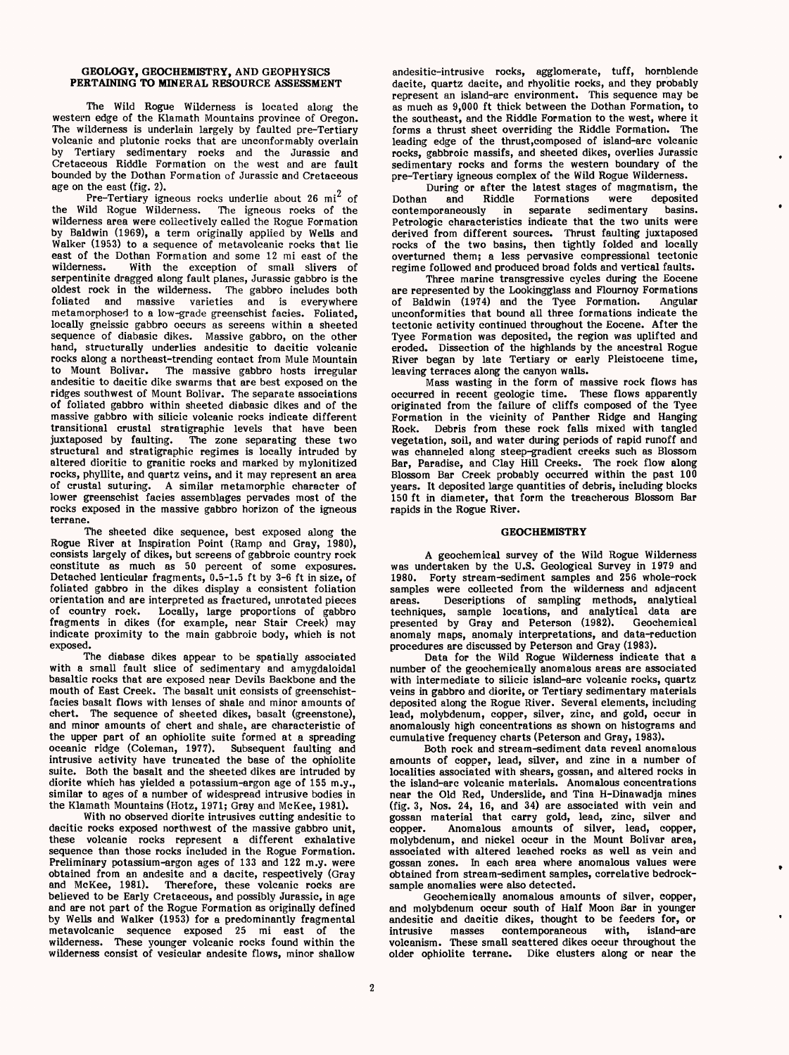#### **GEOLOGY, GEOCHEMISTRY, AND GEOPHYSICS PERTAINING TO MINERAL RESOURCE ASSESSMENT**

The Wild Rogue Wilderness is located along the western edge of the Klamath Mountains province of Oregon. The wilderness is underlain largely by faulted pre-Tertiary volcanic and plutonic rocks that are unconformably overlain by Tertiary sedimentary rocks and the Jurassic and Cretaceous Riddle Formation on the west and are fault bounded by the Dothan Formation of Jurassic and Cretaceous age on the east (fig. 2).

Pre-Tertiary igneous rocks underlie about 26  $mi^2$  of the Wild Rogue Wilderness. The igneous rocks of the wilderness area were collectively called the Rogue Formation by Baldwin (1969), a term originally applied by Wells and Walker (1953) to a sequence of metavolcanic rocks that lie east of the Dothan Formation and some 12 mi east of the wilderness. With the exception of small slivers of With the exception of small slivers of serpentinite dragged along fault planes, Jurassic gabbro is the oldest rock in the wilderness. The gabbro includes both foliated and massive varieties and is everywhere metamorphosed to a low-grade greenschist facies. Foliated, locally gneissic gabbro occurs as screens within a sheeted sequence of diabasic dikes. Massive gabbro, on the other hand, structurally underlies andesitic to dacitic volcanic rocks along a northeast-trending contact from Mule Mountain The massive gabbro hosts irregular andesitic to dacitic dike swarms that are best exposed on the ridges southwest of Mount Bolivar. The separate associations of foliated gabbro within sheeted diabasic dikes and of the massive gabbro with silicic volcanic rocks indicate different transitional crustal stratigraphic levels that have been juxtaposed by faulting. The zone separating these two structural and stratigraphic regimes is locally intruded by altered dioritic to granitic rocks and marked by mylonitized rocks, phyllite, and quartz veins, and it may represent an area of crustal suturing. A similar metamorphic character of lower greenschist facies assemblages pervades most of the rocks exposed in the massive gabbro horizon of the igneous terrane.

The sheeted dike sequence, best exposed along the Rogue River at Inspiration Point (Ramp and Gray, 1980), consists largely of dikes, but screens of gabbroic country rock constitute as much as 50 percent of some exposures. Detached lenticular fragments, 0.5-1.5 ft by 3-6 ft in size, of foliated gabbro in the dikes display a consistent foliation orientation and are interpreted as fractured, unrotated pieces<br>of country rock. Locally, large proportions of gabbro of country rock. Locally, large proportions of gabbro fragments in dikes (for example, near Stair Creek) may indicate proximity to the main gabbroic body, which is not exposed.

The diabase dikes appear to be spatially associated with a small fault slice of sedimentary and amygdaloidal basaltic rocks that are exposed near Devils Backbone and the mouth of East Creek. The basalt unit consists of greenschistfacies basalt flows with lenses of shale and minor amounts of chert. The sequence of sheeted dikes, basalt (greenstone), and minor amounts of chert and shale, are characteristic of the upper part of an ophiolite suite formed at a spreading oceanic ridge (Coleman, 1977). Subsequent faulting and oceanic ridge (Coleman, 1977). intrusive activity have truncated the base of the ophiolite suite. Both the basalt and the sheeted dikes are intruded by diorite which has yielded a potassium-argon age of 155 m.y., similar to ages of a number of widespread intrusive bodies in the Klamath Mountains (Hotz, 1971; Gray and McKee, 1981).

With no observed diorite intrusives cutting andesitic to dacitic rocks exposed northwest of the massive gabbro unit, these volcanic rocks represent a different exhalative sequence than those rocks included in the Rogue Formation. Preliminary potassium-argon ages of 133 and 122 m.y. were obtained from an andesite and a dacite, respectively (Gray and McKee, 1981). Therefore, these volcanic rocks are believed to be Early Cretaceous, and possibly Jurassic, in age and are not part of the Rogue Formation as originally defined by Wells and Walker (1953) for a predominantly fragmental metavolcanic sequence exposed 25 mi east of the wilderness. These younger volcanic rocks found within the wilderness consist of vesicular andesite flows, minor shallow

andesitic-intrusive rocks, agglomerate, tuff, hornblende dacite, quartz dacite, and rhyolitic rocks, and they probably represent an island-arc environment. This sequence may be as much as 9,000 ft thick between the Dothan Formation, to the southeast, and the Riddle Formation to the west, where it forms a thrust sheet overriding the Riddle Formation. The leading edge of the thrust,composed of island-arc volcanic rocks, gabbroic massifs, and sheeted dikes, overlies Jurassic sedimentary rocks and forms the western boundary of the pre-Tertiary igneous complex of the Wild Rogue Wilderness.

During or after the latest stages of magmatism, the pother name of During and Riddle Formations were deposited Dothan and Riddle Formations were deposited contemporaneously in separate sedimentary basins. separate sedimentary Petrologic characteristics indicate that the two units were derived from different sources. Thrust faulting juxtaposed rocks of the two basins, then tightly folded and locally overturned them; a less pervasive compressional tectonic regime followed and produced broad folds and vertical faults.

Three marine transgressive cycles during the Eocene are represented by the Lookingglass and Flournoy Formations of Baldwin (1974) and the Tyee Formation. Angular unconformities that bound all three formations indicate the tectonic activity continued throughout the Eocene. After the Tyee Formation was deposited, the region was uplifted and eroded. Dissection of the highlands by the ancestral Rogue River began by late Tertiary or early Pleistocene time, leaving terraces along the canyon walls.

Mass wasting in the form of massive rock flows has occurred in recent geologic time. These flows apparently originated from the failure of cliffs composed of the Tyee Formation in the vicinity of Panther Ridge and Hanging Rock. Debris from these rock falls mixed with tangled vegetation, soil, and water during periods of rapid runoff and was channeled along steep-gradient creeks such as Blossom Bar, Paradise, and Clay Hill Creeks. The rock flow along Blossom Bar Creek probably occurred within the past 100 years. It deposited large quantities of debris, including blocks 150 ft in diameter, that form the treacherous Blossom Bar rapids in the Rogue River.

## **GEOCHEMISTRY**

A geochemical survey of the Wild Rogue Wilderness was undertaken by the U.S. Geological Survey in 1979 and 1980. Forty stream-sediment samples and 256 whole-rock samples were collected from the wilderness and adjacent areas. Descriptions of sampling methods, analytical techniques, sample locations, and analytical data are presented by Gray and Peterson (1982). Geochemical anomaly maps, anomaly interpretations, and data-reduction procedures are discussed by Peterson and Gray (1983).

Data for the Wild Rogue Wilderness indicate that a number of the geochemically anomalous areas are associated with intermediate to silicic island-arc volcanic rocks, quartz veins in gabbro and diorite, or Tertiary sedimentary materials deposited along the Rogue River. Several elements, including lead, molybdenum, copper, silver, zinc, and gold, occur in anomalously high concentrations as shown on histograms and cumulative frequency charts (Peterson and Gray, 1983).

Both rock and stream-sediment data reveal anomalous amounts of copper, lead, silver, and zinc in a number of localities associated with shears, gossan, and altered rocks in the island-arc volcanic materials. Anomalous concentrations near the Old Red, Underslide, and Tina H-Dinawadja mines (fig. 3, Nos. 24, 16, and 34) are associated with vein and gossan material that carry gold, lead, zinc, silver and copper. Anomalous amounts of silver, lead, copper, molybdenum, and nickel occur in the Mount Bolivar area, associated with altered leached rocks as well as vein and gossan zones. In each area where anomalous values were obtained from stream-sediment samples, correlative bedrocksample anomalies were also detected.

Geochemically anomalous amounts of silver, copper, and molybdenum occur south of Half Moon Bar in younger andesitic and dacitic dikes, thought to be feeders for, or<br>intrusive masses contemporaneous with, island-arc intrusive masses contemporaneous with, island-arc These small scattered dikes occur throughout the older ophiolite terrane. Dike clusters along or near the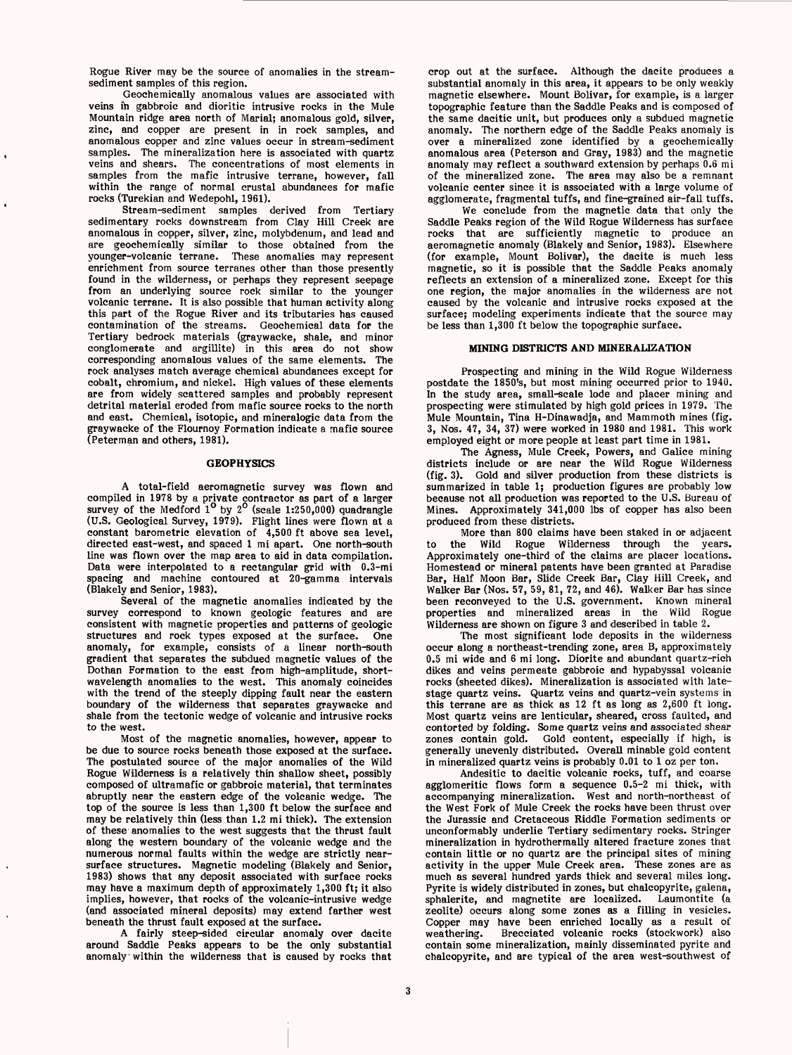Rogue River may be the source of anomalies in the streamsediment samples of this region.

Geochemically anomalous values are associated with veins ih gabbroic and dioritic intrusive rocks in the Mule Mountain ridge area north of Marial; anomalous gold, silver, zinc, and copper are present in in rock samples, and anomalous copper and zinc values occur in stream-sediment samples. The mineralization here is associated with quartz veins and shears. The concentrations of most elements in samples from the mafic intrusive terrane, however, fall within the range of normal crustal abundances for mafic rocks (Turekian and Wedepohl, 1961).

Stream-sediment samples derived from Tertiary sedimentary rocks downstream from Clay Hill Creek are anomalous in copper, silver, zinc, molybdenum, and lead and are geochemically similar to those obtained from the younger-volcanic terrane. These anomalies may represent enrichment from source terranes other than those presently found in the wilderness, or perhaps they represent seepage from an underlying source rock similar to the younger volcanic terrane. It is also possible that human activity along this part of the Rogue River and its tributaries has caused contamination of the streams. Geochemical data for the Tertiary bedrock materials (graywacke, shale, and minor conglomerate and argillite) in this area do not show corresponding anomalous values of the same elements. The rock analyses match average chemical abundances except for cobalt, chromium, and nickel. High values of these elements are from widely scattered samples and probably represent detrital material eroded from mafic source rocks to the north and east. Chemical, isotopic, and mineralogic data from the graywacke of the Flournoy Formation indicate a mafic source (Peterman and others, 1981).

#### **GEOPHYSICS**

A total-field aeromagnetic survey was flown and compiled in 1978 by a private contractor as part of a larger survey of the Medford  $1^{\circ}$  by 2<sup>o</sup> (scale 1:250,000) quadrangle (U.S. Geological Survey, 1979). Flight lines were flown at a constant barometric elevation of 4,500 ft above sea level, directed east-west, and spaced 1 mi apart. One north-south line was flown over the map area to aid in data compilation. Data were interpolated to a rectangular grid with 0.3-mi spacing and machine contoured at 20-gamma intervals (Blakely and Senior, 1983).

Several of the magnetic anomalies indicated by the survey correspond to known geologic features and are consistent with magnetic properties and patterns of geologic structures and rock types exposed at the surface. One anomaly, for example, consists of a linear north-south gradient that separates the subdued magnetic values of the Dothan Formation to the east from high-amplitude, shortwavelength anomalies to the west. This anomaly coincides with the trend of the steeply dipping fault near the eastern boundary of the wilderness that separates graywacke and shale from the tectonic wedge of volcanic and intrusive rocks to the west.

Most of the magnetic anomalies, however, appear to be due to source rocks beneath those exposed at the surface. The postulated source of the major anomalies of the Wild Rogue Wilderness is a relatively thin shallow sheet, possibly composed of ultramafic or gabbroic material, that terminates abruptly near the eastern edge of the volcanic wedge. The top of the source is less than 1,300 ft below the surface and may be relatively thin (less than 1.2 mi thick). The extension of these anomalies to the west suggests that the thrust fault along the western boundary of the volcanic wedge and the numerous normal faults within the wedge are strictly nearsurface structures. Magnetic modeling (Blakely and Senior, 1983) shows that any deposit associated with surface rocks may have a maximum depth of approximately 1,300 ft; it also implies, however, that rocks of the volcanic-intrusive wedge (and associated mineral deposits) may extend farther west beneath the thrust fault exposed at the surface.

A fairly steep-sided circular anomaly over dacite around Saddle Peaks appears to be the only substantial anomaly "within the wilderness that is caused by rocks that crop out at the surface. Although the dacite produces a substantial anomaly in this area, it appears to be only weakly magnetic elsewhere. Mount Bolivar, for example, is a larger topographic feature than the Saddle Peaks and is composed of the same dacitic unit, but produces only a subdued magnetic anomaly. The northern edge of the Saddle Peaks anomaly is over a mineralized zone identified by a geochemically anomalous area (Peterson and Gray, 1983) and the magnetic anomaly may reflect a southward extension by perhaps 0.6 mi of the mineralized zone. The area may also be a remnant volcanic center since it is associated with a large volume of agglomerate, fragmental tuffs, and fine-grained air-fall tuffs.

We conclude from the magnetic data that only the Saddle Peaks region of the Wild Rogue Wilderness has surface rocks that are sufficiently magnetic to produce an aeromagnetic anomaly (Blakely and Senior, 1983). Elsewhere (for example, Mount Bolivar), the dacite is much less magnetic, so it is possible that the Saddle Peaks anomaly reflects an extension of a mineralized zone. Except for this one region, the major anomalies in the wilderness are not caused by the volcanic and intrusive rocks exposed at the surface; modeling experiments indicate that the source may be less than 1,300 ft below the topographic surface.

#### **MINING DISTRICTS AND MINERALIZATION**

Prospecting and mining in the Wild Rogue Wilderness postdate the 1850's, but most mining occurred prior to 1940. In the study area, small-scale lode and placer mining and prospecting were stimulated by high gold prices in 1979. The Mule Mountain, Tina H-Dinawadja, and Mammoth mines (fig. 3, Nos. 47, 34, 37) were worked in 1980 and 1981. This work employed eight or more people at least part time in 1981.

The Agness, Mule Creek, Powers, and Galice mining districts include or are near the Wild Rogue Wilderness (fig. 3). Gold and silver production from these districts is summarized in table 1; production figures are probably low because not all production was reported to the U.S. Bureau of Mines. Approximately 341,000 Ibs of copper has also been produced from these districts.

More than 800 claims have been staked in or adjacent to the Wild Rogue Wilderness through the years. Approximately one-third of the claims are placer locations. Homestead or mineral patents have been granted at Paradise Bar, Half Moon Bar, Slide Creek Bar, Clay Hill Creek, and Walker Bar (Nos. 57, 59, 81, 72, and 46). Walker Bar has since been reconveyed to the U.S. government. Known mineral properties and mineralized areas in the Wild Rogue Wilderness are shown on figure 3 and described in table 2.

The most significant lode deposits in the wilderness occur along a northeast-trending zone, area B, approximately 0.5 mi wide and 6 mi long. Diorite and abundant quartz-rich dikes and veins permeate gabbroic and hypabyssal volcanic rocks (sheeted dikes). Mineralization is associated with latestage quartz veins. Quartz veins and quartz-vein systems in this terrane are as thick as 12 ft as long as 2,600 ft long. Most quartz veins are lenticular, sheared, cross faulted, and contorted by folding. Some quartz veins and associated shear<br>zones contain gold. Gold content, especially if high, is Gold content, especially if high, is generally unevenly distributed. Overall minable gold content in mineralized quartz veins is probably 0.01 to 1 oz per ton.

Andesitic to dacitic volcanic rocks, tuff, and coarse agglomeritic flows form a sequence 0.5-2 mi thick, with accompanying mineralization. West and north-northeast of the West Fork of Mule Creek the rocks have been thrust over the Jurassic and Cretaceous Riddle Formation sediments or unconformably underlie Tertiary sedimentary rocks. Stringer mineralization in hydrothermally altered fracture zones that contain little or no quartz are the principal sites of mining activity in the upper Mule Creek area. These zones are as much as several hundred yards thick and several miles long. Pyrite is widely distributed in zones, but chalcopyrite, galena,<br>sphalerite, and magnetite are localized, Laumontite (a sphalerite, and magnetite are localized. zeolite) occurs along some zones as a filling in vesicles. Copper may have been enriched locally as a result of weathering. Brecciated volcanic rocks (stockwork) also contain some mineralization, mainly disseminated pyrite and chalcopyrite, and are typical of the area west-southwest of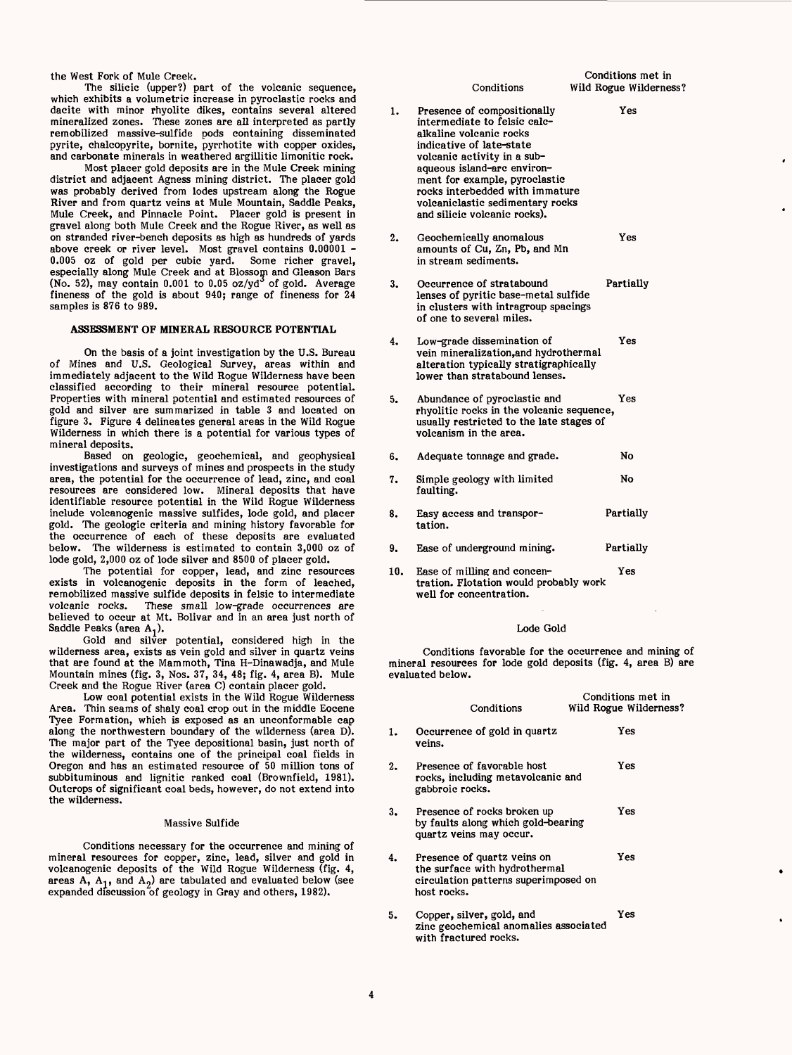the West Fork of Mule Creek.

The silicic (upper?) part of the volcanic sequence, which exhibits a volumetric increase in pyroclastic rocks and dacite with minor rhyolite dikes, contains several altered mineralized zones. These zones are all interpreted as partly remobilized massive-sulfide pods containing disseminated pyrite, chalcopyrite, bornite, pyrrhotite with copper oxides, and carbonate minerals in weathered argillitic limonitic rock.

Most placer gold deposits are in the Mule Creek mining district and adjacent Agness mining district. The placer gold was probably derived from lodes upstream along the Rogue River and from quartz veins at Mule Mountain, Saddle Peaks, Mule Creek, and Pinnacle Point. Placer gold is present in gravel along both Mule Creek and the Rogue River, as well as on stranded river-bench deposits as high as hundreds of yards above creek or river level. Most gravel contains 0.00001 - 0.005 oz of gold per cubic yard. Some richer gravel, especially along Mule Creek and at Blossom and Gleason Bars (No. 52), may contain  $0.001$  to  $0.05$  oz/yd<sup>3</sup> of gold. Average fineness of the gold is about 940; range of fineness for 24 samples is 876 to 989.

# ASSESSMENT OF MINERAL RESOURCE POTENTIAL

On the basis of a joint investigation by the U.S. Bureau of Mines and U.S. Geological Survey, areas within and immediately adjacent to the Wild Rogue Wilderness have been classified according to their mineral resource potential. Properties with mineral potential and estimated resources of gold and silver are summarized in table 3 and located on figure 3. Figure 4 delineates general areas in the Wild Rogue Wilderness in which there is a potential for various types of mineral deposits.

Based on geologic, geochemical, and geophysical investigations and surveys of mines and prospects in the study area, the potential for the occurrence of lead, zinc, and coal resources are considered low. Mineral deposits that have identifiable resource potential in the Wild Rogue Wilderness include volcanogenic massive sulfides, lode gold, and placer gold. The geologic criteria and mining history favorable for the occurrence of each of these deposits are evaluated below. The wilderness is estimated to contain 3,000 oz of lode gold, 2,000 oz of lode silver and 8500 of placer gold.

The potential for copper, lead, and zinc resources exists in volcanogenic deposits in the form of leached, remobilized massive sulfide deposits in felsic to intermediate volcanic rocks. These small low-grade occurrences are believed to occur at Mt. Bolivar and in an area just north of Saddle Peaks (area  $A_1$ ).

Gold and silver potential, considered high in the wilderness area, exists as vein gold and silver in quartz veins that are found at the Mammoth, Tina H-Dinawadja, and Mule Mountain mines (fig. 3, Nos. 37, 34, 48; fig. 4, area B). Mule Creek and the Rogue River (area C) contain placer gold.

Low coal potential exists in the Wild Rogue Wilderness Area. Thin seams of shaly coal crop out in the middle Eocene Tyee Formation, which is exposed as an unconformable cap along the northwestern boundary of the wilderness (area D). The major part of the Tyee depositional basin, just north of the wilderness, contains one of the principal coal fields in Oregon and has an estimated resource of 50 million tons of subbituminous and lignitic ranked coal (Brownfield, 1981). Outcrops of significant coal beds, however, do not extend into the wilderness.

#### Massive Sulfide

Conditions necessary for the occurrence and mining of mineral resources for copper, zinc, lead, silver and gold in volcanogenic deposits of the Wild Rogue Wilderness (fig. 4, areas  $A_1$ ,  $A_1$ , and  $A_2$ ) are tabulated and evaluated below (see expanded discussion of geology in Gray and others, 1982).

Conditions met in Conditions Wild Rogue Wilderness?

- Presence of compositionally Yes 1. intermediate to felsic calcalkaline volcanic rocks indicative of late-state volcanic activity in a subaqueous island-arc environment for example, pyroclastic rocks interbedded with immature volcaniclastic sedimentary rocks and silicic volcanic rocks).
- 2. Geochemically anomalous Yes amounts of Cu, Zn, Pb, and Mn in stream sediments.
- 3. Occurrence of stratabound Partially lenses of pyritic base-metal sulfide in clusters with intragroup spacings of one to several miles.
- 4. Low-grade dissemination of Yes vein mineralization,and hydrothermal alteration typically stratigraphically lower than stratabound lenses.
- 5. Abundance of pyroclastic and Yes rhyolitic rocks in the volcanic sequence, usually restricted to the late stages of volcanism in the area.
- 6. Adequate tonnage and grade. No
- 7. Simple geology with limited faulting. No
- 8. Easy access and transportation. Partially
- 9. Ease of underground mining. Partially
- 10. Ease of milling and concentration. Flotation would probably work well for concentration. Yes

#### Lode Gold

Conditions favorable for the occurrence and mining of mineral resources for lode gold deposits (fig. 4, area B) are evaluated below.

|    | Conditions                                                                                                          | Conditions met in | Wild Rogue Wilderness? |
|----|---------------------------------------------------------------------------------------------------------------------|-------------------|------------------------|
| 1. | Occurrence of gold in quartz<br>veins.                                                                              | Yes               |                        |
| 2. | Presence of favorable host<br>rocks, including metavolcanic and<br>gabbroic rocks.                                  | Yes               |                        |
| 3. | Presence of rocks broken up<br>by faults along which gold-bearing<br>quartz veins may occur.                        | Yes               |                        |
| 4. | Presence of quartz veins on<br>the surface with hydrothermal<br>circulation patterns superimposed on<br>host rocks. | Yes               |                        |
| 5. | Copper, silver, gold, and<br>zinc geochemical anomalies associated<br>with fractured rocks.                         | Yes               |                        |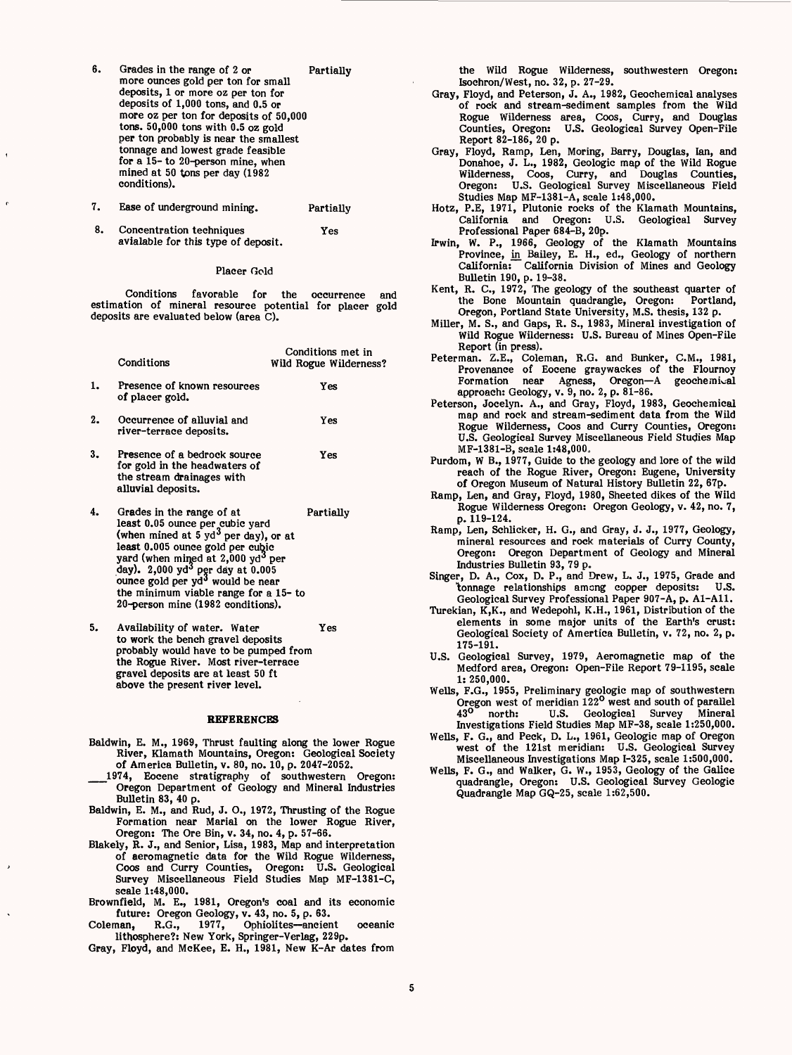- 6. Grades in the range of 2 or Partially more ounces gold per ton for small deposits, 1 or more oz per ton for deposits of 1,000 tons, and 0.5 or more oz per ton for deposits of 50,000 tons.  $50,000$  tons with  $0.5$  oz gold per ton probably is near the smallest tonnage and lowest grade feasible for a  $15-$  to 20-person mine, when mined at 50 tons per day (1982 conditions).
- 7. Ease of underground mining. Partially
- 8. Concentration techniques **Yes** avialable for this type of deposit.

# Placer Gold

Conditions favorable for the occurrence and estimation of mineral resource potential for placer gold deposits are evaluated below (area C).

|    | Conditions                                                                                                                                                                                                                                                                                                                                                                         | Conditions met in<br>Wild Rogue Wilderness? |
|----|------------------------------------------------------------------------------------------------------------------------------------------------------------------------------------------------------------------------------------------------------------------------------------------------------------------------------------------------------------------------------------|---------------------------------------------|
| 1. | Presence of known resources<br>of placer gold.                                                                                                                                                                                                                                                                                                                                     | Yes                                         |
| 2. | Occurrence of alluvial and<br>river-terrace deposits.                                                                                                                                                                                                                                                                                                                              | Yes                                         |
| 3. | Presence of a bedrock source<br>for gold in the headwaters of<br>the stream drainages with<br>alluvial deposits.                                                                                                                                                                                                                                                                   | Yes                                         |
| 4. | Grades in the range of at<br>least 0.05 ounce per cubic yard<br>(when mined at $5 \text{ yd}^3$ per day), or at<br>least 0.005 ounce gold per cubic<br>yard (when mined at 2,000 yd <sup>3</sup> per<br>day). 2,000 yd <sup>3</sup> per day at 0.005<br>ounce gold per yd <sup>3</sup> would be near<br>the minimum viable range for a 15- to<br>20-person mine (1982 conditions). | Partially                                   |
|    |                                                                                                                                                                                                                                                                                                                                                                                    |                                             |

5. Availability of water. Water Yes to work the bench gravel deposits probably would have to be pumped from the Rogue River. Most river-terrace gravel deposits are at least 50 ft above the present river level.

# **REFERENCES**

- Baldwin, E. M., 1969, Thrust faulting along the lower Rogue River, Klamath Mountains, Oregon: Geological Society of America Bulletin, v. 80, no. 10, p. 2047-2052.
- \_\_1974, Eocene stratigraphy of southwestern Oregon: Oregon Department of Geology and Mineral Industries Bulletin 83, 40 p.
- Baldwin, E. M., and Rud, J. O., 1972, Thrusting of the Rogue Formation near Marial on the lower Rogue River, Oregon: The Ore Bin, v. 34, no. 4, p. 57-66.
- Blakely, R. J., and Senior, Lisa, 1983, Map and interpretation of aeromagnetic data for the Wild Rogue Wilderness, Coos and Curry Counties, Oregon: U.S. Geological Survey Miscellaneous Field Studies Map MF-1381-C, scale 1:48,000.
- Brownfield, M. E., 1981, Oregon's coal and its economic future: Oregon Geology, v. 43, no. 5, p. 63.<br>Coleman, R.G., 1977, Ophiolites--ancien
- Ophiolites-ancient oceanic lithosphere?: New York, Springer-Verlag, 229p.
- Gray, Floyd, and McKee, E. H., 1981, New K-Ar dates from

the Wild Rogue Wilderness, southwestern Oregon: Isochron/West, no. 32, p. 27-29.

- Gray, Floyd, and Peterson, J. A., 1982, Geochemical analyses of rock and stream-sediment samples from the Wild Rogue Wilderness area, Coos, Curry, and Douglas Counties, Oregon: U.S. Geological Survey Open-File Counties, Oregon:<br>Report 82-186, 20 p.
- Gray, Floyd, Ramp, Len, Moring, Barry, Douglas, lan, and Donahoe, J. L., 1982, Geologic map of the Wild Rogue Wilderness, Coos, Curry, and Douglas Counties, Oregon: U.S. Geological Survey Miscellaneous Field Studies Map MF-1381-A, scale 1:48,000.
- Hotz, P.E, 1971, Plutonic rocks of the Klamath Mountains, California and Oregon: U.S. Geological Survey Professional Paper 684-B, 20p.
- Irwin, W. P., 1966, Geology of the Klamath Mountains Province, <u>in</u> Bailey, E. H., ed., Geology of northern California: California Division of Mines and Geology Bulletin 190, p. 19-38.
- Kent, R. C., 1972, The geology of the southeast quarter of the Bone Mountain quadrangle, Oregon: Portland, Oregon, Portland State University, M.S. thesis, 132 p.
- Miller, M. S., and Gaps, R. S., 1983, Mineral investigation of Wild Rogue Wilderness: U.S. Bureau of Mines Open-File Report (in press).
- Peterman. Z.E., Coleman, R.G. and Bunker, C.M., 1981, Provenance of Eocene graywackes of the Flournoy<br>Formation near Agness, Oregon-A geochemical Formation near Agness, Oregon-A geochemical approach: Geology, v. 9, no. 2, p. 81-86.
- Peterson, Jocelyn. A., and Gray, Floyd, 1983, Geochemical map and rock and stream-sediment data from the Wild Rogue Wilderness, Coos and Curry Counties, Oregon: U.S. Geological Survey Miscellaneous Field Studies Map MF-1381-B, scale 1:48,000,
- Purdom, W B., 1977, Guide to the geology and lore of the wild reach of the Rogue River, Oregon: Eugene, University of Oregon Museum of Natural History Bulletin 22, 67p.
- Ramp, Len, and Gray, Floyd, 1980, Sheeted dikes of the Wild Rogue Wilderness Oregon: Oregon Geology, v. 42, no. 7, p. 119-124.
- Ramp, Len, Schlicker, H. G., and Gray, J. J., 1977, Geology, mineral resources and rock materials of Curry County, Oregon: Oregon Department of Geology and Mineral Industries Bulletin 93, 79 p.
- Singer, D. A., Cox, D. P., and Drew, L. J., 1975, Grade and tonnage relationships among copper deposits: U.S. Geological Survey Professional Paper 907-A, p. A1-A11.
- Turekian, K,K., and Wedepohl, K.H., 1961, Distribution of the elements in some major units of the Earth's crust: Geological Society of Amertica Bulletin, v. 72, no. 2, p. 175-191.
- U.S. Geological Survey, 1979, Aeromagnetic map of the Medford area, Oregon: Open-File Report 79-1195, scale 1: 250,000.
- Wells, F.G., 1955, Preliminary geologic map of southwestern Oregon west of meridian 122<sup>0</sup> west and south of parallel 43° north: U.S. Geological Survey Mineral Investigations Field Studies Map MF-38, scale 1:250,000.
- Wells, F. G., and Peck, D. L., 1961, Geologic map of Oregon west of the 121st meridian: U.S. Geological Survey Miscellaneous Investigations Map 1-325, scale 1:500,000.
- Wells, F. G., and Walker, G. W., 1953, Geology of the Galice quadrangle, Oregon: U.S. Geological Survey Geologic Quadrangle Map GQ-25, scale 1:62,500.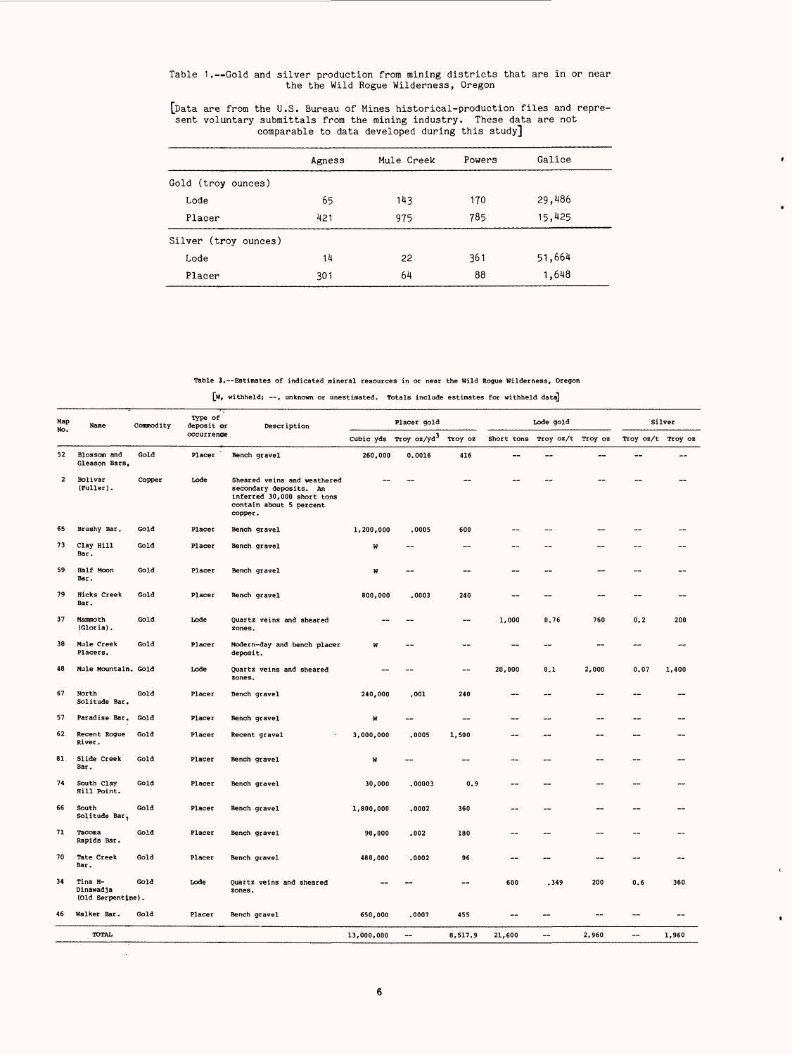Table 1.--Gold and silver production from mining districts that are in or near<br>the the Wild Rogue Wilderness, Oregon

[Data are from the U.S. Bureau of Mines historical-production files and represent voluntary submittals from the mining industry. These data are not comparable to data developed during this study]

|                      | Agness | Mule Creek | Powers | Galice |  |
|----------------------|--------|------------|--------|--------|--|
| Gold (troy ounces)   |        |            |        |        |  |
| Lode                 | 65     | 143        | 170    | 29,486 |  |
| Placer               | 421    | 975        | 785    | 15,425 |  |
| Silver (troy ounces) |        |            |        |        |  |
| Lode                 | 14     | 22         | 361    | 51,664 |  |
| Placer               | 301    | 64         | 88     | 1,648  |  |

| Table 3.--Estimates of indicated mineral resources in or near the Wild Roque Wilderness, Oregon |  |  |  |  |  |
|-------------------------------------------------------------------------------------------------|--|--|--|--|--|
| [W, withheld; --, unknown or unestimated. Totals include estimates for withheld data            |  |  |  |  |  |

| Map                     | Name                                      | Commodity | Type of<br>deposit or | Description                                                                                                               | Placer gold |                       |         |        | Lode gold                    | Silver |                          |       |
|-------------------------|-------------------------------------------|-----------|-----------------------|---------------------------------------------------------------------------------------------------------------------------|-------------|-----------------------|---------|--------|------------------------------|--------|--------------------------|-------|
| No.                     |                                           |           | occurrence            |                                                                                                                           |             | Cubic yds Troy oz/yd3 | Troy oz |        | Short tons Troy oz/t Troy oz |        | Troy oz/t Troy oz        |       |
| 52                      | Blossom and<br>Gleason Bars.              | Gold      | Placer                | Bench gravel                                                                                                              | 260,000     | 0.0016                | 416     | --     |                              | --     |                          |       |
| $\overline{\mathbf{2}}$ | Bolivar<br>(Fuller).                      | Copper    | Lode                  | Sheared veins and weathered<br>secondary deposits. An<br>inferred 30,000 short tons<br>contain about 5 percent<br>copper. |             |                       |         |        |                              |        |                          |       |
| 65                      | Brushy Bar.                               | Gold      | Placer                | Bench gravel                                                                                                              | 1,200,000   | .0005                 | 600     |        |                              |        |                          |       |
| 73                      | Clay Hill<br>Bar.                         | Gold      | Placer                | Bench gravel                                                                                                              | W           |                       |         |        |                              |        |                          |       |
| 59                      | Half Moon<br>Bar.                         | Gold      | Placer                | Bench gravel                                                                                                              | W           | --                    | --      | --     |                              | --     | --                       |       |
| 79                      | <b>Hicks Creek</b><br>Bar.                | Gold      | Placer                | Bench gravel                                                                                                              | 800,000     | .0003                 | 240     |        |                              | --     | --                       |       |
| 37                      | Mammoth<br>(Gloria).                      | Gold      | Lode                  | Quartz veins and sheared<br>zones.                                                                                        |             |                       | --      | 1,000  | 0.76                         | 760    | 0, 2                     | 200   |
| 38                      | Mule Creek<br>Placers.                    | Gold      | Placer                | Modern-day and bench placer<br>deposit.                                                                                   | W           |                       | --      |        |                              |        | --                       | --    |
| 48                      | Mule Mountain. Gold                       |           | Lode                  | Quartz veins and sheared<br>zones.                                                                                        |             |                       | --      | 20,000 | 0.1                          | 2,000  | 0,07                     | 1,400 |
| 67                      | North<br>Solitude Bar.                    | Gold      | Placer                | Bench gravel                                                                                                              | 240,000     | .001                  | 240     |        | --                           |        | --                       |       |
| 57                      | Paradise Bar,                             | Gold      | Placer                | Bench gravel                                                                                                              | W           |                       |         |        |                              |        |                          |       |
| 62                      | Recent Rogue<br>River.                    | Gold      | Placer                | Recent gravel                                                                                                             | 3,000,000   | .0005                 | 1,500   |        |                              |        | --                       |       |
| 81                      | Slide Creek<br>Bar.                       | Gold      | Placer                | Bench gravel                                                                                                              | W           |                       |         |        |                              |        | --                       |       |
| 74                      | South Clay<br>Hill Point.                 | Gold      | Placer                | Bench gravel                                                                                                              | 30,000      | .00003                | 0.9     |        |                              |        | --                       |       |
| 66                      | South<br>Solitude Bar,                    | Gold      | Placer                | Bench gravel                                                                                                              | 1,800,000   | .0002                 | 360     |        |                              |        | --                       |       |
| 71                      | Tacoma<br>Rapids Bar.                     | Gold      | Placer                | Bench gravel                                                                                                              | 90,000      | .002                  | 180     |        |                              |        |                          |       |
| 70                      | <b>Tate Creek</b><br>Bar.                 | Gold      | Placer                | Bench gravel                                                                                                              | 480,000     | .0002                 | 96      |        |                              | --     | --                       | --    |
| 34                      | Tina H-<br>Dinawadja<br>(Old Serpentine). | Gold      | Lode                  | Quartz veins and sheared<br>zones.                                                                                        |             |                       | --      | 600    | .349                         | 200    | 0.6                      | 360   |
| 46                      | Walker Bar.                               | Gold      | Placer                | Bench gravel                                                                                                              | 650,000     | .0007                 | 455     |        |                              |        | --                       | --    |
|                         | <b>TOTAL</b>                              |           |                       |                                                                                                                           | 13,000,000  | --                    | 8.517.9 | 21,600 | --                           | 2,960  | $\overline{\phantom{a}}$ | 1,960 |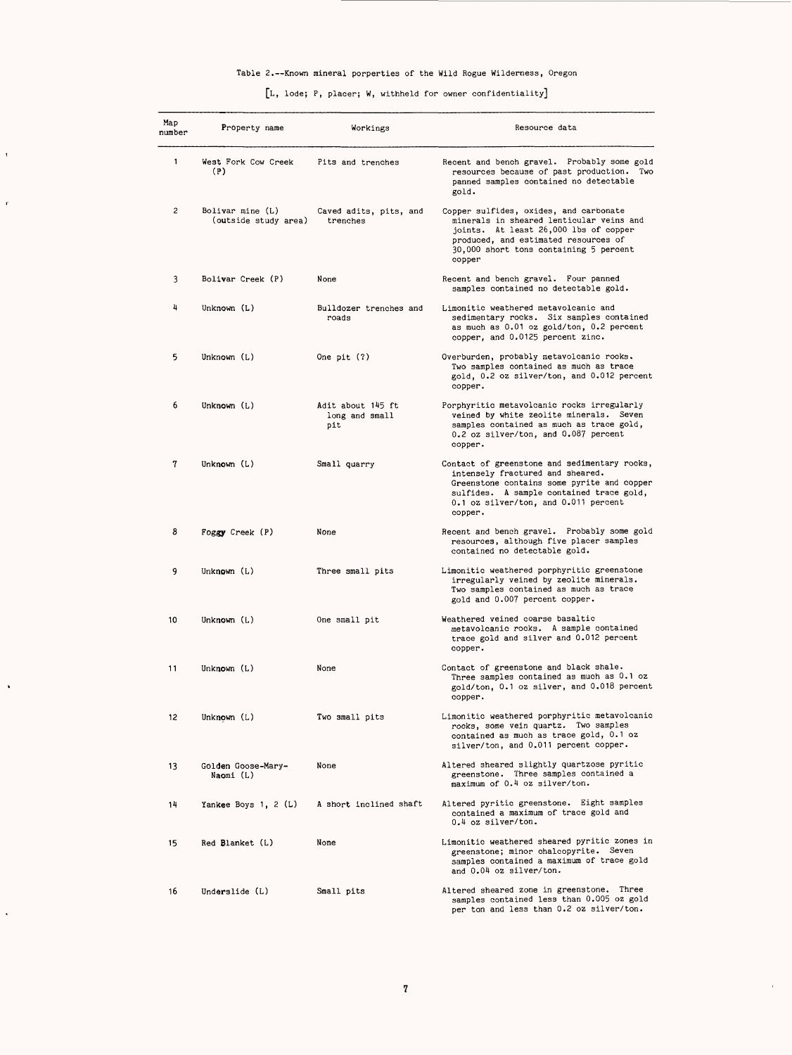# Table 2.--Known mineral porperties of the Wild Rogue Wilderness, Oregon

[L, lode; P, placer; W, withheld for owner confidentiality]

 $\bar{A}$ 

.

 $\hat{\textbf{v}}$ 

 $\ddot{\phantom{1}}$ 

| Map<br>number | Property name                            | Workings                                   | Resource data                                                                                                                                                                                                                 |
|---------------|------------------------------------------|--------------------------------------------|-------------------------------------------------------------------------------------------------------------------------------------------------------------------------------------------------------------------------------|
| 1             | West Fork Cow Creek<br>(P)               | Pits and trenches                          | Recent and bench gravel. Probably some gold<br>resources because of past production. Two<br>panned samples contained no detectable<br>gold.                                                                                   |
| 2             | Bolivar mine (L)<br>(outside study area) | Caved adits, pits, and<br>trenches         | Copper sulfides, oxides, and carbonate<br>minerals in sheared lenticular veins and<br>joints. At least 26,000 lbs of copper<br>produced, and estimated resources of<br>30,000 short tons containing 5 percent<br>copper       |
| 3             | Bolivar Creek (P)                        | None                                       | Recent and bench gravel. Four panned<br>samples contained no detectable gold.                                                                                                                                                 |
| 4             | Unknown (L)                              | Bulldozer trenches and<br>roads            | Limonitic weathered metavolcanic and<br>sedimentary rocks. Six samples contained<br>as much as 0.01 oz gold/ton, 0.2 percent<br>copper, and 0.0125 percent zinc.                                                              |
| 5             | Unknown (L)                              | One pit $(?)$                              | Overburden, probably metavolcanic rocks.<br>Two samples contained as much as trace<br>gold, 0.2 oz silver/ton, and 0.012 percent<br>copper.                                                                                   |
| 6             | Unknown $(L)$                            | Adit about 145 ft<br>long and small<br>pit | Porphyritic metavolcanic rocks irregularly<br>veined by white zeolite minerals. Seven<br>samples contained as much as trace gold,<br>0.2 oz silver/ton, and 0.087 percent<br>copper.                                          |
| 7             | Unknown (L)                              | Small quarry                               | Contact of greenstone and sedimentary rocks,<br>intensely fractured and sheared.<br>Greenstone contains some pyrite and copper<br>sulfides. A sample contained trace gold,<br>0.1 oz silver/ton, and 0.011 percent<br>copper. |
| 8             | Foggy Creek (P)                          | None                                       | Recent and bench gravel. Probably some gold<br>resources, although five placer samples<br>contained no detectable gold.                                                                                                       |
| 9             | Unknown $(L)$                            | Three small pits                           | Limonitic weathered porphyritic greenstone<br>irregularly veined by zeolite minerals.<br>Two samples contained as much as trace<br>gold and 0.007 percent copper.                                                             |
| 10            | Unknown $(L)$                            | One small pit                              | Weathered veined coarse basaltic<br>metavolcanic rocks. A sample contained<br>trace gold and silver and 0.012 percent<br>copper.                                                                                              |
| 11            | Unknown $(L)$                            | None                                       | Contact of greenstone and black shale.<br>Three samples contained as much as 0.1 oz<br>gold/ton, 0.1 oz silver, and 0.018 percent<br>copper.                                                                                  |
| 12            | Unknown (L)                              | Two small pits                             | Limonitic weathered porphyritic metavolcanic<br>rocks, some vein quartz. Two samples<br>contained as much as trace gold, 0.1 oz<br>silver/ton, and 0.011 percent copper.                                                      |
| 13            | Golden Goose-Mary-<br>Naomi (L)          | None                                       | Altered sheared slightly quartzose pyritic<br>greenstone. Three samples contained a<br>maximum of 0.4 oz silver/ton.                                                                                                          |
| 14            | Yankee Boys 1, 2 $(L)$                   | A short inclined shaft                     | Altered pyritic greenstone. Eight samples<br>contained a maximum of trace gold and<br>$0.4$ oz silver/ton.                                                                                                                    |
| 15            | Red Blanket (L)                          | None                                       | Limonitic weathered sheared pyritic zones in<br>greenstone; minor chalcopyrite. Seven<br>samples contained a maximum of trace gold<br>and 0.04 oz silver/ton.                                                                 |
| 16            | Underslide (L)                           | Small pits                                 | Altered sheared zone in greenstone. Three<br>samples contained less than 0.005 oz gold<br>per ton and less than 0.2 oz silver/ton.                                                                                            |

 $\bar{z}$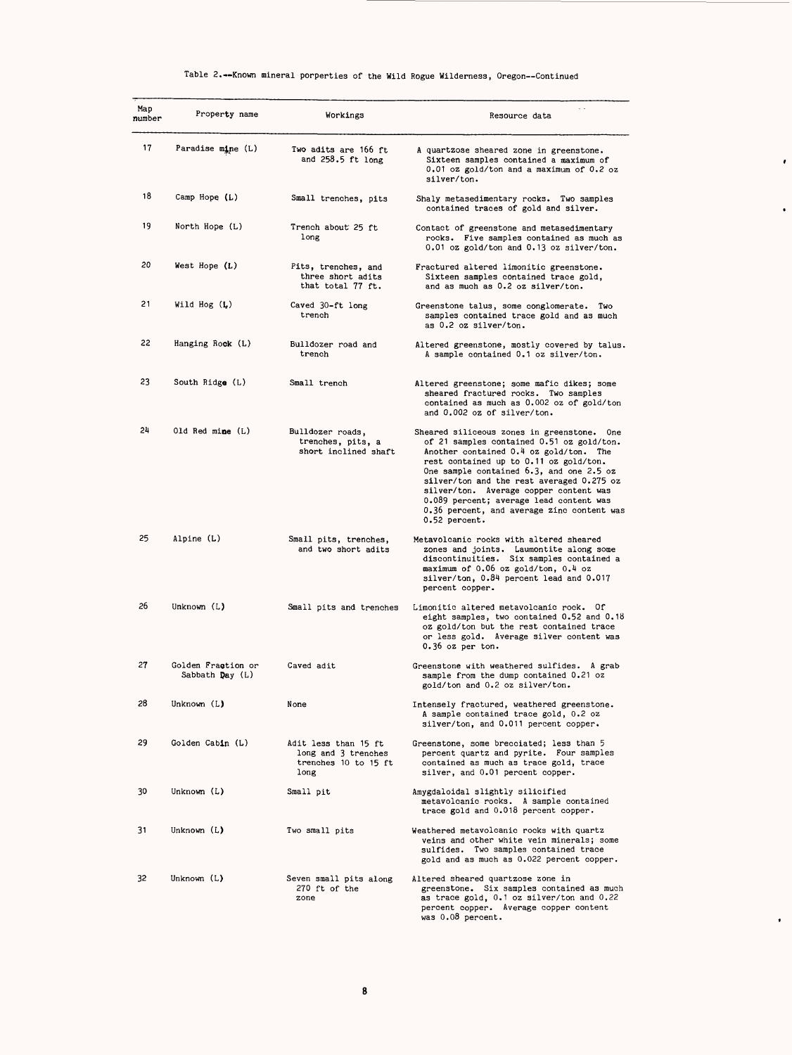# Table 2.--Known mineral porperties of the Wild Rogue Wilderness, Oregon--Continued

| Map<br>number | Property name                         | Workings                                                                    | Resource data                                                                                                                                                                                                                                                                                                                                                                                                                   |
|---------------|---------------------------------------|-----------------------------------------------------------------------------|---------------------------------------------------------------------------------------------------------------------------------------------------------------------------------------------------------------------------------------------------------------------------------------------------------------------------------------------------------------------------------------------------------------------------------|
| 17            | Paradise mine (L)                     | Two adits are 166 ft<br>and 258.5 ft long                                   | A quartzose sheared zone in greenstone.<br>Sixteen samples contained a maximum of<br>0.01 oz gold/ton and a maximum of 0.2 oz<br>silver/ton.                                                                                                                                                                                                                                                                                    |
| 18            | Camp Hope (L)                         | Small trenches, pits                                                        | Shaly metasedimentary rocks. Two samples<br>contained traces of gold and silver.                                                                                                                                                                                                                                                                                                                                                |
| 19            | North Hope (L)                        | Trench about 25 ft<br>long                                                  | Contact of greenstone and metasedimentary<br>rocks. Five samples contained as much as<br>0.01 oz gold/ton and 0.13 oz silver/ton.                                                                                                                                                                                                                                                                                               |
| 20            | West Hope (L)                         | Pits, trenches, and<br>three short adits<br>that total 77 ft.               | Fractured altered limonitic greenstone.<br>Sixteen samples contained trace gold,<br>and as much as 0.2 oz silver/ton.                                                                                                                                                                                                                                                                                                           |
| 21            | Wild Hog $(L)$                        | Caved 30-ft long<br>trench                                                  | Greenstone talus, some conglomerate.<br>Two<br>samples contained trace gold and as much<br>as 0.2 oz silver/ton.                                                                                                                                                                                                                                                                                                                |
| 22            | Hanging Rock (L)                      | Bulldozer road and<br>trench                                                | Altered greenstone, mostly covered by talus.<br>A sample contained 0.1 oz silver/ton.                                                                                                                                                                                                                                                                                                                                           |
| 23            | South Ridge (L)                       | Small trench                                                                | Altered greenstone; some mafic dikes; some<br>sheared fractured rocks. Two samples<br>contained as much as 0.002 oz of gold/ton<br>and 0.002 oz of silver/ton.                                                                                                                                                                                                                                                                  |
| 24            | Old Red mi <b>ne</b> (L)              | Bulldozer roads,<br>trenches, pits, a<br>short inclined shaft               | Sheared siliceous zones in greenstone. One<br>of 21 samples contained 0.51 oz gold/ton.<br>Another contained 0.4 oz gold/ton. The<br>rest contained up to 0.11 oz gold/ton.<br>One sample contained $6.3$ , and one $2.5$ oz<br>silver/ton and the rest averaged 0.275 oz<br>silver/ton. Average copper content was<br>0.089 percent; average lead content was<br>0.36 percent, and average zinc content was<br>$0.52$ percent. |
| 25            | Alpine (L)                            | Small pits, trenches,<br>and two short adits                                | Metavolcanic rocks with altered sheared<br>zones and joints. Laumontite along some<br>discontinuities. Six samples contained a<br>maximum of 0.06 oz gold/ton, 0.4 oz<br>silver/ton, 0.84 percent lead and 0.017<br>percent copper.                                                                                                                                                                                             |
| 26            | Unknown (L)                           | Small pits and trenches                                                     | Limonitic altered metavolcanic rock. Of<br>eight samples, two contained 0.52 and 0.18<br>oz gold/ton but the rest contained trace<br>or less gold. Average silver content was<br>$0.36$ oz per ton.                                                                                                                                                                                                                             |
| 27            | Golden Fraction or<br>Sabbath Day (L) | Caved adit                                                                  | Greenstone with weathered sulfides.<br>A grab<br>sample from the dump contained 0.21 oz<br>gold/ton and 0.2 oz silver/ton.                                                                                                                                                                                                                                                                                                      |
| 28            | Unknown (L)                           | None                                                                        | Intensely fractured, weathered greenstone.<br>A sample contained trace gold, 0.2 oz<br>silver/ton, and 0.011 percent copper.                                                                                                                                                                                                                                                                                                    |
| 29            | Golden Cabin (L)                      | Adit less than 15 ft<br>long and 3 trenches<br>trenches 10 to 15 ft<br>long | Greenstone, some brecciated; less than 5<br>percent quartz and pyrite. Four samples<br>contained as much as trace gold, trace<br>silver, and 0.01 percent copper.                                                                                                                                                                                                                                                               |
| 30            | Unknown (L)                           | Small pit                                                                   | Amygdaloidal slightly silicified<br>metavolcanic rocks. A sample contained<br>trace gold and 0.018 percent copper.                                                                                                                                                                                                                                                                                                              |
| 31            | Unknown (L)                           | Two small pits                                                              | Weathered metavolcanic rocks with quartz<br>veins and other white vein minerals; some<br>sulfides. Two samples contained trace<br>gold and as much as 0.022 percent copper.                                                                                                                                                                                                                                                     |
| 32            | Unknown (L)                           | Seven small pits along<br>270 ft of the<br>zone                             | Altered sheared quartzose zone in<br>greenstone. Six samples contained as much<br>as trace gold, 0.1 oz silver/ton and 0.22<br>percent copper. Average copper content<br>was 0.08 percent.                                                                                                                                                                                                                                      |

 $\bullet$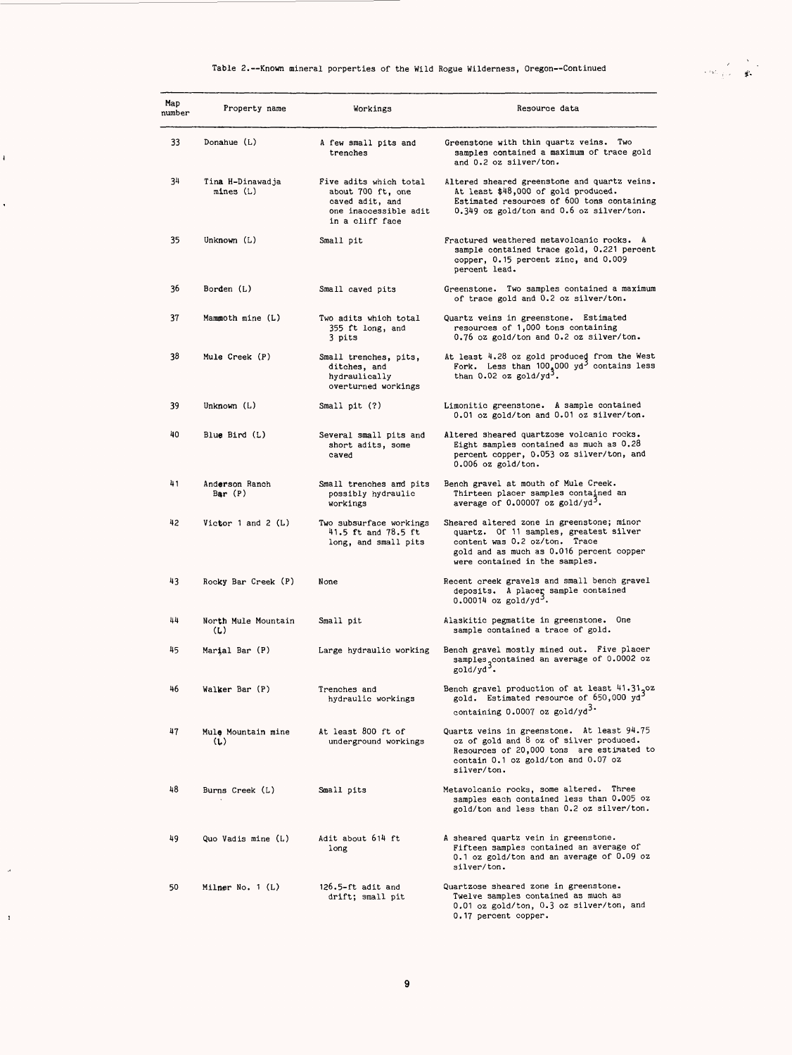$\mathbf{r}$ 

 $\ddot{\phantom{0}}$ 

 $\bar{\mathcal{A}}$ 

 $\bar{z}$ 

| Map<br>number | Property name                      | Workings                                                                                                   | Resource data                                                                                                                                                                                      |
|---------------|------------------------------------|------------------------------------------------------------------------------------------------------------|----------------------------------------------------------------------------------------------------------------------------------------------------------------------------------------------------|
| 33            | Donahue (L)                        | A few small pits and<br>trenches                                                                           | Greenstone with thin quartz veins. Two<br>samples contained a maximum of trace gold<br>and 0.2 oz silver/ton.                                                                                      |
| 34            | Tina H-Dinawadja<br>mines (L)      | Five adits which total<br>about 700 ft, one<br>caved adit, and<br>one inaccessible adit<br>in a cliff face | Altered sheared greenstone and quartz veins.<br>At least \$48,000 of gold produced.<br>Estimated resources of 600 tons containing<br>0.349 oz gold/ton and 0.6 oz silver/ton.                      |
| 35            | Unknown (L)                        | Small pit                                                                                                  | Fractured weathered metavolcanic rocks. A<br>sample contained trace gold, 0.221 percent<br>copper, 0.15 percent zinc, and 0.009<br>percent lead.                                                   |
| 36            | Borden (L)                         | Small caved pits                                                                                           | Greenstone. Two samples contained a maximum<br>of trace gold and 0.2 oz silver/ton.                                                                                                                |
| 37            | Mammoth mine (L)                   | Two adits which total<br>355 ft long, and<br>3 pits                                                        | Quartz veins in greenstone. Estimated<br>resources of 1,000 tons containing<br>0.76 oz gold/ton and 0.2 oz silver/ton.                                                                             |
| 38            | Mule Creek (P)                     | Small trenches, pits,<br>ditches, and<br>hydraulically<br>overturned workings                              | At least 4.28 oz gold produced from the West<br>Fork. Less than $1005000$ yd <sup>3</sup> contains less<br>than $0.02$ oz gold/yd <sup>3</sup> .                                                   |
| 39            | Unknown (L)                        | Small pit (?)                                                                                              | Limonitic greenstone. A sample contained<br>0.01 oz gold/ton and 0.01 oz silver/ton.                                                                                                               |
| 40            | Blue Bird (L)                      | Several small pits and<br>short adits, some<br>caved                                                       | Altered sheared quartzose volcanic rocks.<br>Eight samples contained as much as 0.28<br>percent copper, 0.053 oz silver/ton, and<br>$0.006$ oz gold/ton.                                           |
| 41            | Anderson Ranch<br>Bar(P)           | Small trenches and pits<br>possibly hydraulic<br>workings                                                  | Bench gravel at mouth of Mule Creek.<br>Thirteen placer samples contained an<br>average of 0.00007 oz gold/yd <sup>3</sup> .                                                                       |
| 42            | Victor 1 and 2 $(L)$               | Two subsurface workings<br>41.5 ft and 78.5 ft<br>long, and small pits                                     | Sheared altered zone in greenstone; minor<br>quartz. Of 11 samples, greatest silver<br>content was 0.2 oz/ton. Trace<br>gold and as much as 0.016 percent copper<br>were contained in the samples. |
| 43            | Rocky Bar Creek (P)                | None                                                                                                       | Recent creek gravels and small bench gravel<br>deposits. A placer sample contained<br>0.00014 oz gold/yd <sup>3</sup> .                                                                            |
| 44            | Nor <b>th</b> Mule Mountain<br>(L) | Small pit                                                                                                  | Alaskitic pegmatite in greenstone. One<br>sample contained a trace of gold.                                                                                                                        |
| 45            | Marial Bar (P)                     | Large hydraulic working                                                                                    | Bench gravel mostly mined out. Five placer<br>samples, contained an average of 0.0002 oz<br>gold/yd'.                                                                                              |
| 46            | Walker Bar (P)                     | Trenches and<br>hydraulic workings                                                                         | Bench gravel production of at least 41.31,02<br>gold. Estimated resource of 650,000 yd <sup>3</sup><br>containing $0.0007$ oz gold/yd <sup>3.</sup>                                                |
| 47            | Mule Mountain mine<br>(L)          | At least 800 ft of<br>underground workings                                                                 | Quartz veins in greenstone. At least 94.75<br>oz of gold and 8 oz of silver produced.<br>Resources of 20,000 tons are estimated to<br>contain 0.1 oz gold/ton and 0.07 oz<br>silver/ton.           |
| 48            | Burns Creek (L)                    | Small pits                                                                                                 | Metavolcanic rocks, some altered. Three<br>samples each contained less than 0.005 oz<br>gold/ton and less than 0.2 oz silver/ton.                                                                  |
| 49            | Quo Vadis mine (L)                 | Adit about 614 ft<br>long                                                                                  | A sheared quartz vein in greenstone.<br>Fifteen samples contained an average of<br>0.1 oz gold/ton and an average of 0.09 oz<br>silver/ton.                                                        |
| 50            | Milner No. $1(L)$                  | 126.5-ft adit and<br>drift; small pit                                                                      | Quartzose sheared zone in greenstone.<br>Twelve samples contained as much as<br>0.01 oz gold/ton, 0.3 oz silver/ton, and<br>0.17 percent copper.                                                   |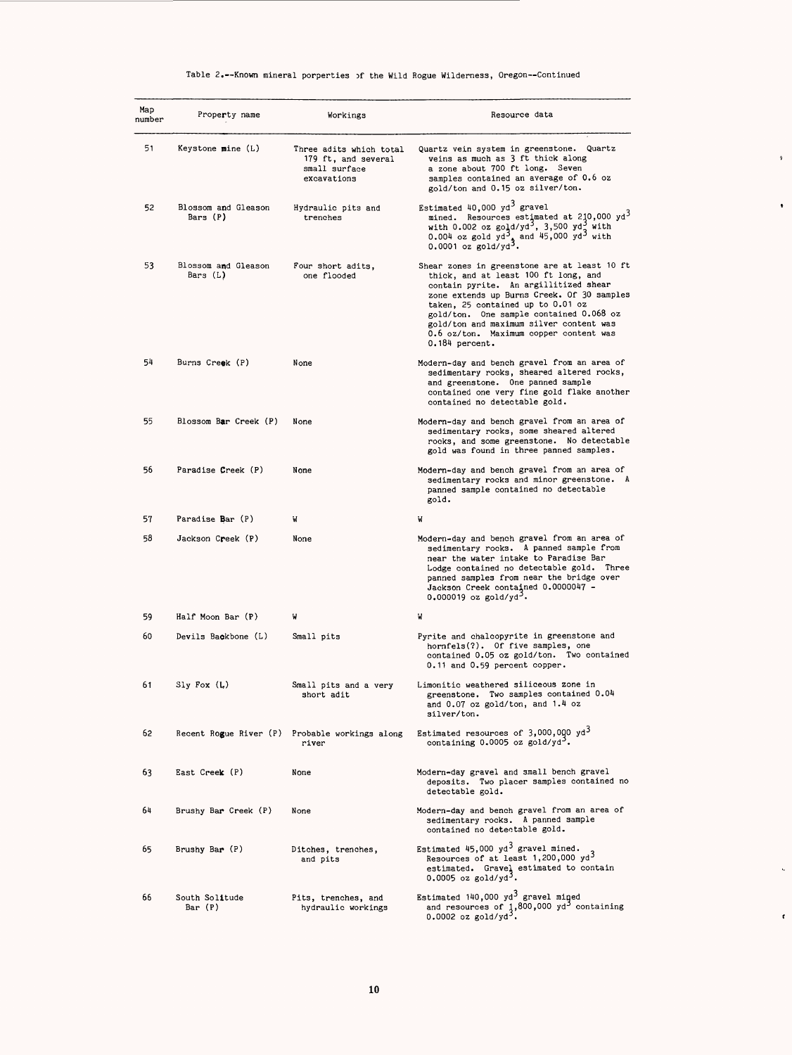| Table 2.--Known mineral porperties of the Wild Rogue Wilderness, Oregon--Continued |  |  |  |  |  |
|------------------------------------------------------------------------------------|--|--|--|--|--|
|------------------------------------------------------------------------------------|--|--|--|--|--|

 $\pmb{y}$ 

 $\ddot{\phantom{1}}$ 

t,

 $\pmb{\epsilon}$ 

| Map<br>number | Property name                      | Workings                                                                       | Resource data                                                                                                                                                                                                                                                                                                                                                        |
|---------------|------------------------------------|--------------------------------------------------------------------------------|----------------------------------------------------------------------------------------------------------------------------------------------------------------------------------------------------------------------------------------------------------------------------------------------------------------------------------------------------------------------|
| 51            | Keystone mine (L)                  | Three adits which total<br>179 ft, and several<br>small surface<br>excavations | Quartz vein system in greenstone. Quartz<br>veins as much as 3 ft thick along<br>a zone about 700 ft long. Seven<br>samples contained an average of 0.6 oz<br>gold/ton and 0.15 oz silver/ton.                                                                                                                                                                       |
| 52            | Blossom and Gleason<br>Bars (P)    | Hydraulic pits and<br>trenches                                                 | Estimated 40,000 $yd^3$ gravel<br>mined. Resources estimated at 210,000 yd <sup>3</sup><br>with 0.002 oz gold/yd <sup>3</sup> , 3,500 yd <sub>2</sub> with<br>0.004 oz gold $yd^3$ , and 45,000 $yd^3$ with<br>0.0001 oz gold/yd <sup>3</sup> .                                                                                                                      |
| 53            | Blossom and Gleason<br>Bars (L)    | Four short adits,<br>one flooded                                               | Shear zones in greenstone are at least 10 ft<br>thick, and at least 100 ft long, and<br>contain pyrite. An argillitized shear<br>zone extends up Burns Creek. Of 30 samples<br>taken, 25 contained up to 0.01 oz<br>gold/ton. One sample contained 0.068 oz<br>gold/ton and maximum silver content was<br>0.6 oz/ton. Maximum copper content was<br>$0.184$ percent. |
| 54            | Burns Creek (P)                    | None                                                                           | Modern-day and bench gravel from an area of<br>sedimentary rocks, sheared altered rocks,<br>and greenstone. One panned sample<br>contained one very fine gold flake another<br>contained no detectable gold.                                                                                                                                                         |
| 55            | Blossom Bar Creek (P)              | None                                                                           | Modern-day and bench gravel from an area of<br>sedimentary rocks, some sheared altered<br>rocks, and some greenstone. No detectable<br>gold was found in three panned samples.                                                                                                                                                                                       |
| 56            | Paradise Creek (P)                 | None                                                                           | Modern-day and bench gravel from an area of<br>sedimentary rocks and minor greenstone. A<br>panned sample contained no detectable<br>gold.                                                                                                                                                                                                                           |
| 57            | Paradise Bar (P)                   | W                                                                              | W                                                                                                                                                                                                                                                                                                                                                                    |
| 58            | Jackson Creek (P)                  | None                                                                           | Modern-day and bench gravel from an area of<br>sedimentary rocks. A panned sample from<br>near the water intake to Paradise Bar<br>Lodge contained no detectable gold. Three<br>panned samples from near the bridge over<br>Jackson Creek contained 0.0000047 -<br>$0.000019$ oz gold/yd <sup>2</sup> .                                                              |
| 59            | Half Moon Bar (P)                  | W                                                                              | W                                                                                                                                                                                                                                                                                                                                                                    |
| 60            | Devils Backbone (L)                | Small pits                                                                     | Pyrite and chalcopyrite in greenstone and<br>hornfels(?). Of five samples, one<br>contained 0.05 oz gold/ton. Two contained<br>0.11 and 0.59 percent copper.                                                                                                                                                                                                         |
| 61            | Sly For (L)                        | Small pits and a very<br>short adit                                            | Limonitic weathered siliceous zone in<br>greenstone. Two samples contained 0.04<br>and 0.07 oz gold/ton, and 1.4 oz<br>silver/ton.                                                                                                                                                                                                                                   |
| 62            |                                    | Recent Rogue River (P) Probable workings along<br>river                        | Estimated resources of 3,000,000 yd <sup>3</sup><br>containing 0.0005 oz gold/yd <sup>3</sup> .                                                                                                                                                                                                                                                                      |
| 63            | East Creek (P)                     | None                                                                           | Modern-day gravel and small bench gravel<br>deposits. Two placer samples contained no<br>detectable gold.                                                                                                                                                                                                                                                            |
| 64            | Brushy Bar Creek (P)               | None                                                                           | Modern-day and bench gravel from an area of<br>sedimentary rocks. A panned sample<br>contained no detectable gold.                                                                                                                                                                                                                                                   |
| 65            | Brushy Bar (P)                     | Ditches, trenches,<br>and pits                                                 | Estimated 45,000 $yd^3$ gravel mined.<br>Resources of at least $1,200,000 yd^3$<br>estimated. Gravel estimated to contain<br>0.0005 oz gold/yd <sup>3</sup> .                                                                                                                                                                                                        |
| 66            | South Sol <b>i</b> tude<br>Bar (P) | Pits, trenches, and<br>hydraulic workings                                      | Estimated 140,000 yd <sup>5</sup> gravel mined<br>and resources of $1,800,000$ yd <sup>3</sup> containing<br>0.0002 oz gold/yd <sup>3</sup> .                                                                                                                                                                                                                        |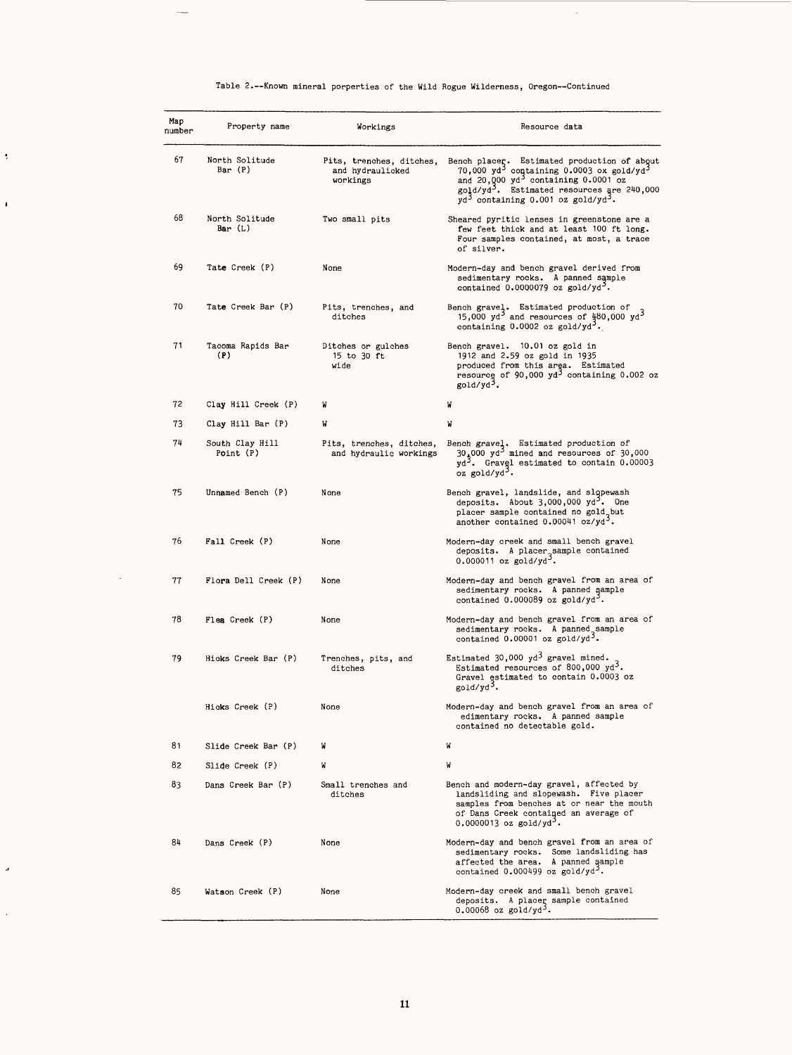| Map<br>number | Property name                | Workings                                                 | Resource data                                                                                                                                                                                                                                                                               |
|---------------|------------------------------|----------------------------------------------------------|---------------------------------------------------------------------------------------------------------------------------------------------------------------------------------------------------------------------------------------------------------------------------------------------|
| 67            | North Solitude<br>Bar (P)    | Pits, trenches, ditches,<br>and hydraulicked<br>workings | Bench placer. Estimated production of about<br>70,000 yd <sup>5</sup> containing 0.0003 ox gold/yd <sup>5</sup><br>and $20,000 \text{ yd}^3$ containing $0.0001$ oz<br>gold/yd <sup>3</sup> . Estimated resources are 240,000<br>yd <sup>3</sup> containing 0.001 oz gold/yd <sup>3</sup> . |
| 68            | North Solitude<br>Bar(L)     | Two small pits                                           | Sheared pyritic lenses in greenstone are a<br>few feet thick and at least 100 ft long.<br>Four samples contained, at most, a trace<br>of silver.                                                                                                                                            |
| 69            | Tate Creek (P)               | None                                                     | Modern-day and bench gravel derived from<br>sedimentary rocks. A panned sample<br>contained 0.0000079 oz gold/yd'.                                                                                                                                                                          |
| 70            | Tate Creek Bar (P)           | Pits, trenches, and<br>ditches                           | Bench gravel. Estimated production of<br>15,000 $yd^3$ and resources of $480,000 yd^3$<br>containing $0.0002$ oz gold/yd <sup>3</sup> .                                                                                                                                                     |
| 71            | Tacoma Rapids Bar<br>(P)     | Ditches or gulches<br>15 to 30 ft<br>wide                | Bench gravel. 10.01 oz gold in<br>1912 and 2.59 oz gold in 1935<br>produced from this arga. Estimated<br>resource of 90,000 $yd^3$ containing 0.002 oz<br>gold/yd <sup>3</sup> .                                                                                                            |
| 72            | Clay Hill Creek (P)          | W                                                        | W                                                                                                                                                                                                                                                                                           |
| 73            | Clay Hill Bar (P)            | W                                                        | W                                                                                                                                                                                                                                                                                           |
| 74            | South Clay Hill<br>Point (P) | Pits, trenches, ditches,<br>and hydraulic workings       | Bench gravel. Estimated production of<br>$304000$ yd <sup>3</sup> mined and resources of 30,000<br>yd <sup>3</sup> . Gravgl estimated to contain 0.00003<br>oz gold/yd <sup>3</sup> .                                                                                                       |
| 75            | Unnamed Bench (P)            | None                                                     | Bench gravel, landslide, and slgpewash<br>deposits. About 3,000,000 yd'. One<br>placer sample contained no gold, but<br>another contained 0.00041 oz/yd <sup>3</sup> .                                                                                                                      |
| 76            | Fall Creek (P)               | None                                                     | Modern-day creek and small bench gravel<br>deposits. A placer <sub>p</sub> sample contained<br>0.000011 oz gold/yd".                                                                                                                                                                        |
| 77            | Flora Dell Creek (P)         | None                                                     | Modern-day and bench gravel from an area of<br>sedimentary rocks. A panned sample<br>contained 0.000089 oz gold/yd <sup>-</sup> .                                                                                                                                                           |
| 78            | Flea Creek (P)               | None                                                     | Modern-day and bench gravel from an area of<br>sedimentary rocks. A panned sample<br>contained 0.00001 oz gold/yd <sup>3</sup> .                                                                                                                                                            |
| 79            | Hicks Creek Bar (P)          | Trenches, pits, and<br>ditches                           | Estimated 30,000 $yd^3$ gravel mined.<br>Estimated resources of 800,000 $yd^3$ .<br>Gravel estimated to contain 0.0003 oz<br>gold/yd <sup>3</sup> .                                                                                                                                         |
|               | Hicks Creek (P)              | None                                                     | Modern-day and bench gravel from an area of<br>edimentary rocks. A panned sample<br>contained no detectable gold.                                                                                                                                                                           |
| 81            | Slide Creek Bar (P)          | W                                                        | W                                                                                                                                                                                                                                                                                           |
| 82            | Slide Creek (P)              | W                                                        | W                                                                                                                                                                                                                                                                                           |
| 83            | Dans Creek Bar (P)           | Small trenches and<br>ditches                            | Bench and modern-day gravel, affected by<br>landsliding and slopewash. Five placer<br>samples from benches at or near the mouth<br>of Dans Creek contained an average of<br>$0.0000013$ oz gold/yd <sup>3</sup> .                                                                           |
| 84            | Dans Creek (P)               | None                                                     | Modern-day and bench gravel from an area of<br>sedimentary rocks. Some landsliding has<br>affected the area.<br>A panned gample<br>contained 0.000499 oz gold/yd <sup>3</sup> .                                                                                                             |
| 85            | Watson Creek (P)             | None                                                     | Modern-day creek and small bench gravel<br>deposits. A placer sample contained<br>$0.00068$ oz gold/yd <sup>3</sup> .                                                                                                                                                                       |

# Table 2.--Known mineral porperties of the Wild Rogue Wilderness, Oregon--Continued

 $\overline{\phantom{a}}$ 

 $\overline{\phantom{a}}$ 

 $\sim$ 

 $\bar{\gamma}$ 

 $\bar{\mathbf{r}}$ 

 $\boldsymbol{\beta}$ 

 $\hat{\mathcal{L}}$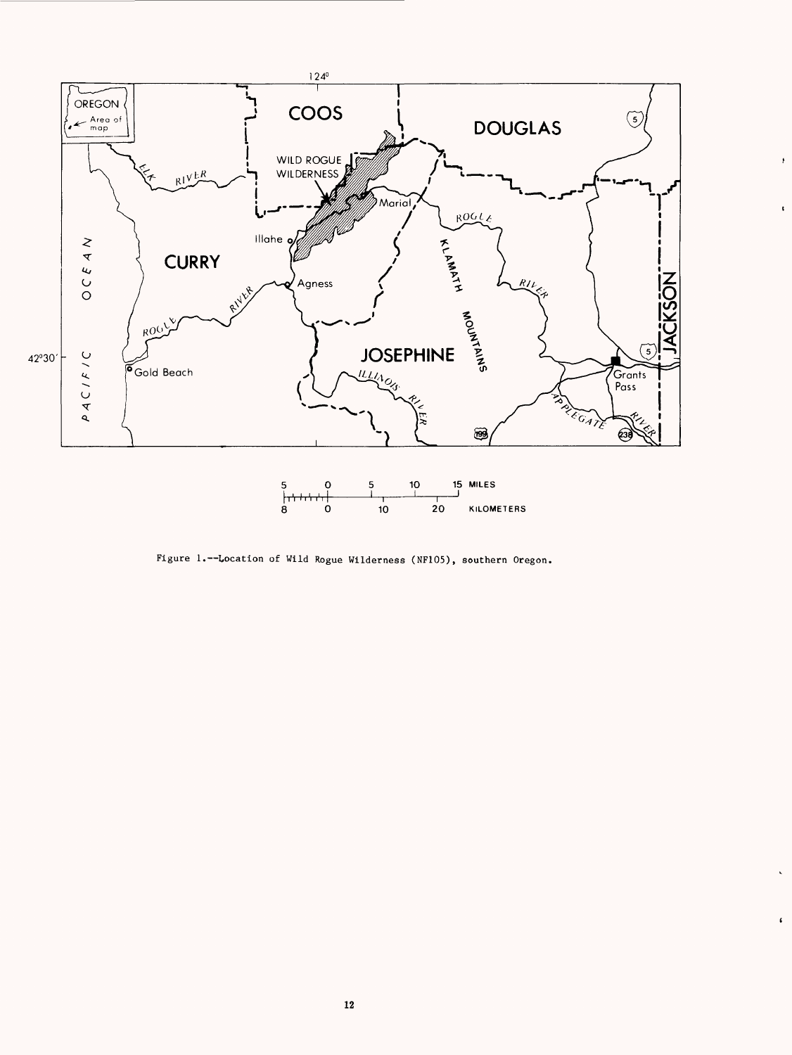

Figure 1.--Location of Wild Rogue Wilderness (NF105), southern Oregon.

 $\epsilon$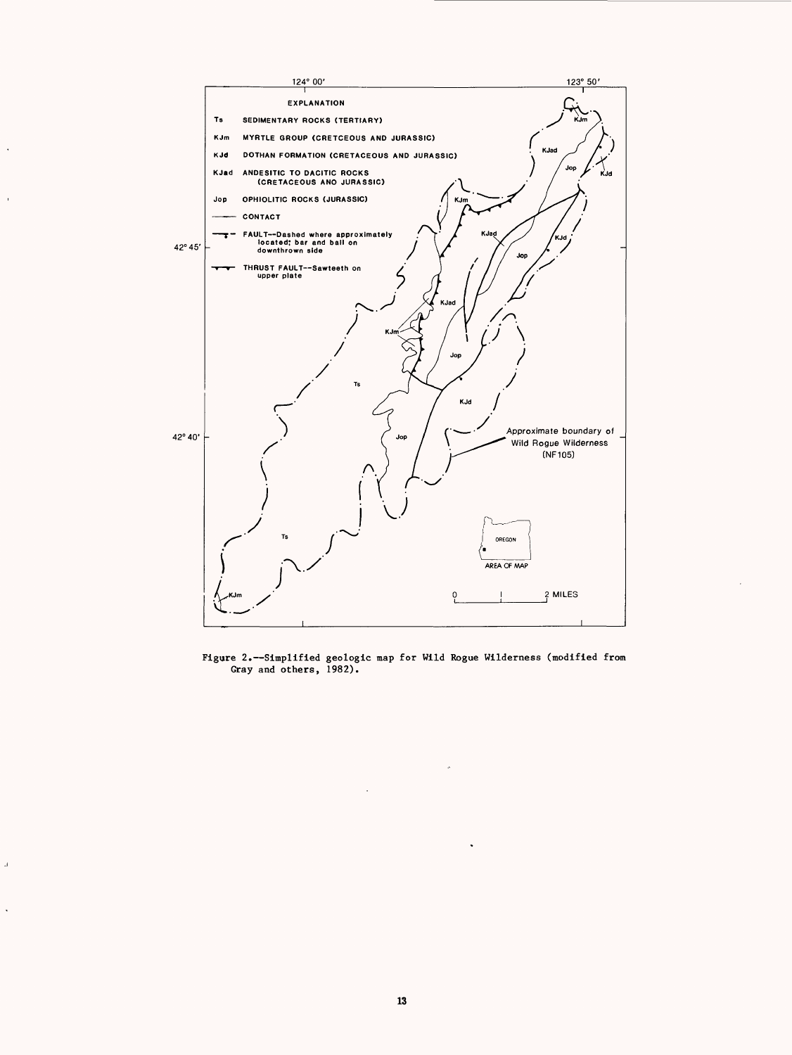

Figure 2. Simplified geologic map for Wild Rogue Wilderness (modified from Gray and others, 1982).

 $\mathcal{A}$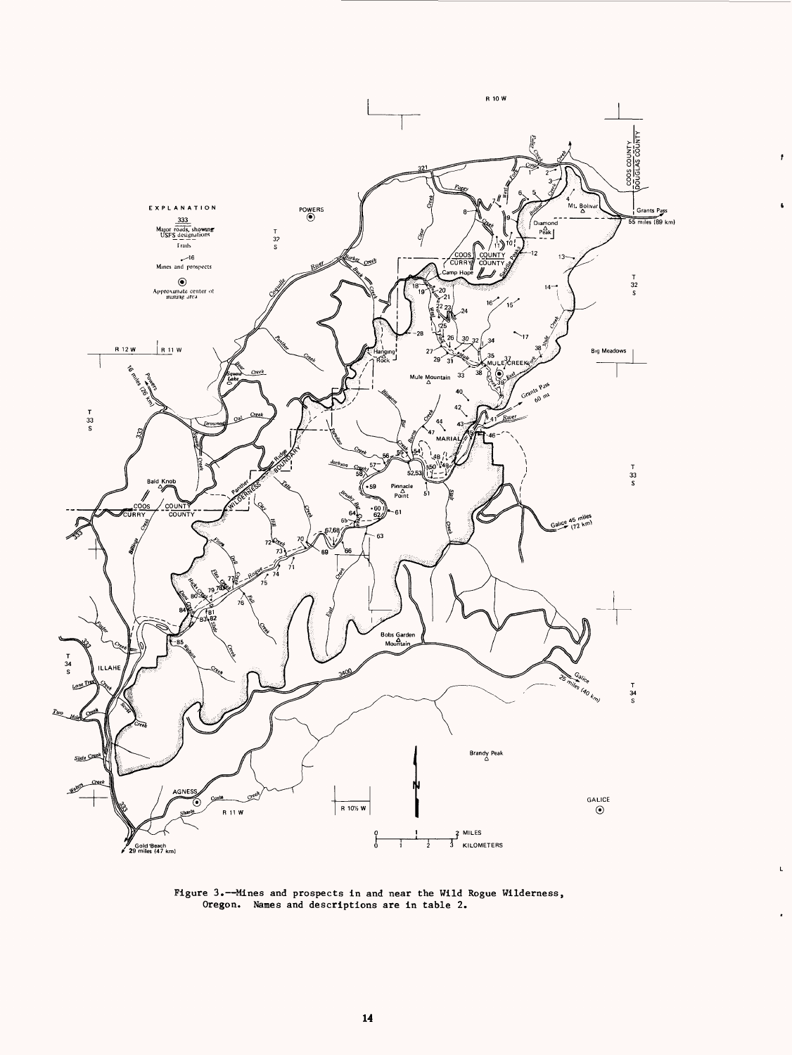

 $\mathbf{r}$ 

 $\bar{\mathbf{L}}$ 

 $\bullet$ 

Figure  $3$ .--Mines and prospects in and near the Wild Rogue Wilderness, Oregon. Names and descriptions are in table 2.